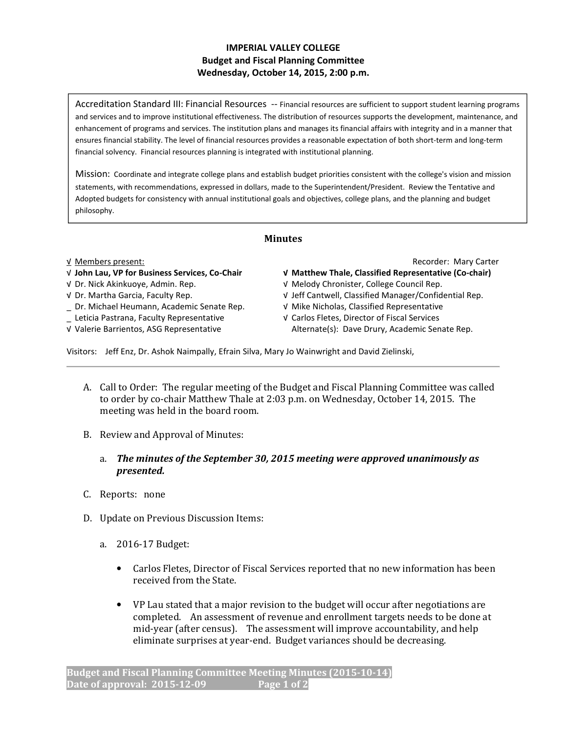# IMPERIAL VALLEY COLLEGE Budget and Fiscal Planning Committee Wednesday, October 14, 2015, 2:00 p.m.

Accreditation Standard III: Financial Resources -- Financial resources are sufficient to support student learning programs and services and to improve institutional effectiveness. The distribution of resources supports the development, maintenance, and enhancement of programs and services. The institution plans and manages its financial affairs with integrity and in a manner that ensures financial stability. The level of financial resources provides a reasonable expectation of both short-term and long-term financial solvency. Financial resources planning is integrated with institutional planning.

Mission: Coordinate and integrate college plans and establish budget priorities consistent with the college's vision and mission statements, with recommendations, expressed in dollars, made to the Superintendent/President. Review the Tentative and Adopted budgets for consistency with annual institutional goals and objectives, college plans, and the planning and budget philosophy.

# Minutes

### √ John Lau, VP for Business Services, Co-Chair √ Matthew Thale, Classified Representative (Co-chair)

- 
- 
- \_ Dr. Michael Heumann, Academic Senate Rep. √ Mike Nicholas, Classified Representative
- 
- 

√ Members present: Recorder: Mary Carter

- 
- √ Dr. Nick Akinkuoye, Admin. Rep. √ Melody Chronister, College Council Rep.
- √ Dr. Martha Garcia, Faculty Rep. √ Jeff Cantwell, Classified Manager/Confidential Rep.
	-
- \_ Leticia Pastrana, Faculty Representative √ Carlos Fletes, Director of Fiscal Services √ Valerie Barrientos, ASG Representative Alternate(s): Dave Drury, Academic Senate Rep.

Visitors: Jeff Enz, Dr. Ashok Naimpally, Efrain Silva, Mary Jo Wainwright and David Zielinski,

- A. Call to Order: The regular meeting of the Budget and Fiscal Planning Committee was called to order by co-chair Matthew Thale at 2:03 p.m. on Wednesday, October 14, 2015. The meeting was held in the board room.
- B. Review and Approval of Minutes:
	- a. The minutes of the September 30, 2015 meeting were approved unanimously as presented.
- C. Reports: none
- D. Update on Previous Discussion Items:
	- a. 2016-17 Budget:
		- Carlos Fletes, Director of Fiscal Services reported that no new information has been received from the State.
		- VP Lau stated that a major revision to the budget will occur after negotiations are completed. An assessment of revenue and enrollment targets needs to be done at mid-year (after census). The assessment will improve accountability, and help eliminate surprises at year-end. Budget variances should be decreasing.